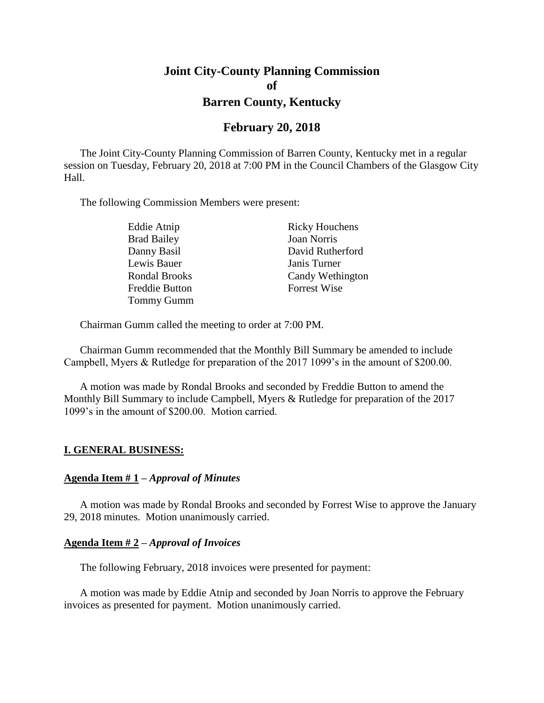# **Joint City-County Planning Commission of Barren County, Kentucky**

# **February 20, 2018**

The Joint City-County Planning Commission of Barren County, Kentucky met in a regular session on Tuesday, February 20, 2018 at 7:00 PM in the Council Chambers of the Glasgow City Hall.

The following Commission Members were present:

| Eddie Atnip           | <b>Ricky Houchens</b> |
|-----------------------|-----------------------|
| <b>Brad Bailey</b>    | <b>Joan Norris</b>    |
| Danny Basil           | David Rutherford      |
| Lewis Bauer           | Janis Turner          |
| <b>Rondal Brooks</b>  | Candy Wethington      |
| <b>Freddie Button</b> | <b>Forrest Wise</b>   |
| <b>Tommy Gumm</b>     |                       |

Chairman Gumm called the meeting to order at 7:00 PM.

Chairman Gumm recommended that the Monthly Bill Summary be amended to include Campbell, Myers & Rutledge for preparation of the 2017 1099's in the amount of \$200.00.

A motion was made by Rondal Brooks and seconded by Freddie Button to amend the Monthly Bill Summary to include Campbell, Myers & Rutledge for preparation of the 2017 1099's in the amount of \$200.00. Motion carried.

#### **I. GENERAL BUSINESS:**

#### **Agenda Item # 1 –** *Approval of Minutes*

A motion was made by Rondal Brooks and seconded by Forrest Wise to approve the January 29, 2018 minutes. Motion unanimously carried.

#### **Agenda Item # 2 –** *Approval of Invoices*

The following February, 2018 invoices were presented for payment:

A motion was made by Eddie Atnip and seconded by Joan Norris to approve the February invoices as presented for payment. Motion unanimously carried.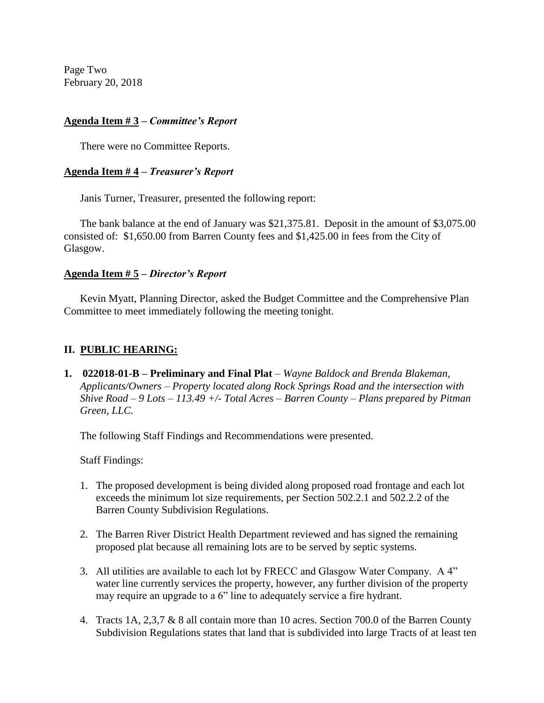Page Two February 20, 2018

# **Agenda Item # 3 –** *Committee's Report*

There were no Committee Reports.

### **Agenda Item # 4 –** *Treasurer's Report*

Janis Turner, Treasurer, presented the following report:

The bank balance at the end of January was \$21,375.81. Deposit in the amount of \$3,075.00 consisted of: \$1,650.00 from Barren County fees and \$1,425.00 in fees from the City of Glasgow.

### **Agenda Item # 5 –** *Director's Report*

Kevin Myatt, Planning Director, asked the Budget Committee and the Comprehensive Plan Committee to meet immediately following the meeting tonight.

### **II. PUBLIC HEARING:**

**1. 022018-01-B – Preliminary and Final Plat** *– Wayne Baldock and Brenda Blakeman, Applicants/Owners – Property located along Rock Springs Road and the intersection with Shive Road – 9 Lots – 113.49 +/- Total Acres – Barren County – Plans prepared by Pitman Green, LLC.* 

The following Staff Findings and Recommendations were presented.

Staff Findings:

- 1. The proposed development is being divided along proposed road frontage and each lot exceeds the minimum lot size requirements, per Section 502.2.1 and 502.2.2 of the Barren County Subdivision Regulations.
- 2. The Barren River District Health Department reviewed and has signed the remaining proposed plat because all remaining lots are to be served by septic systems.
- 3. All utilities are available to each lot by FRECC and Glasgow Water Company. A 4" water line currently services the property, however, any further division of the property may require an upgrade to a 6" line to adequately service a fire hydrant.
- 4. Tracts 1A, 2,3,7 & 8 all contain more than 10 acres. Section 700.0 of the Barren County Subdivision Regulations states that land that is subdivided into large Tracts of at least ten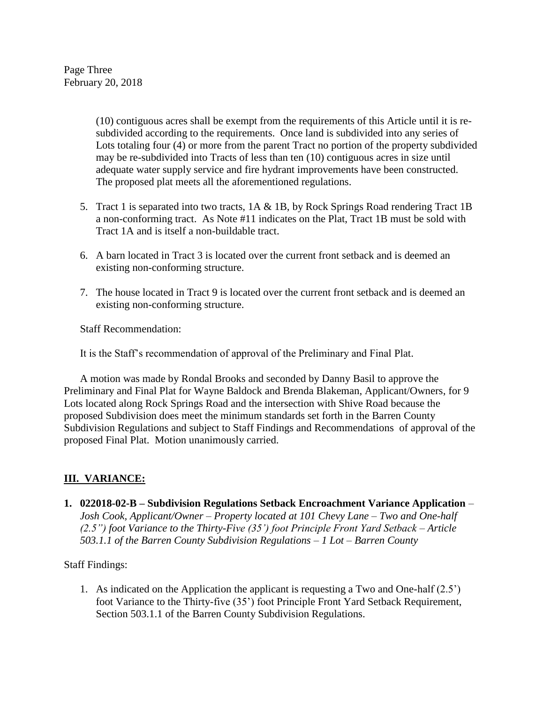Page Three February 20, 2018

> (10) contiguous acres shall be exempt from the requirements of this Article until it is resubdivided according to the requirements. Once land is subdivided into any series of Lots totaling four (4) or more from the parent Tract no portion of the property subdivided may be re-subdivided into Tracts of less than ten (10) contiguous acres in size until adequate water supply service and fire hydrant improvements have been constructed. The proposed plat meets all the aforementioned regulations.

- 5. Tract 1 is separated into two tracts, 1A & 1B, by Rock Springs Road rendering Tract 1B a non-conforming tract. As Note #11 indicates on the Plat, Tract 1B must be sold with Tract 1A and is itself a non-buildable tract.
- 6. A barn located in Tract 3 is located over the current front setback and is deemed an existing non-conforming structure.
- 7. The house located in Tract 9 is located over the current front setback and is deemed an existing non-conforming structure.

Staff Recommendation:

It is the Staff's recommendation of approval of the Preliminary and Final Plat.

A motion was made by Rondal Brooks and seconded by Danny Basil to approve the Preliminary and Final Plat for Wayne Baldock and Brenda Blakeman, Applicant/Owners, for 9 Lots located along Rock Springs Road and the intersection with Shive Road because the proposed Subdivision does meet the minimum standards set forth in the Barren County Subdivision Regulations and subject to Staff Findings and Recommendations of approval of the proposed Final Plat. Motion unanimously carried.

# **III. VARIANCE:**

**1. 022018-02-B – Subdivision Regulations Setback Encroachment Variance Application** *– Josh Cook, Applicant/Owner – Property located at 101 Chevy Lane – Two and One-half (2.5") foot Variance to the Thirty-Five (35') foot Principle Front Yard Setback – Article 503.1.1 of the Barren County Subdivision Regulations – 1 Lot – Barren County*

Staff Findings:

1. As indicated on the Application the applicant is requesting a Two and One-half (2.5') foot Variance to the Thirty-five (35') foot Principle Front Yard Setback Requirement, Section 503.1.1 of the Barren County Subdivision Regulations.